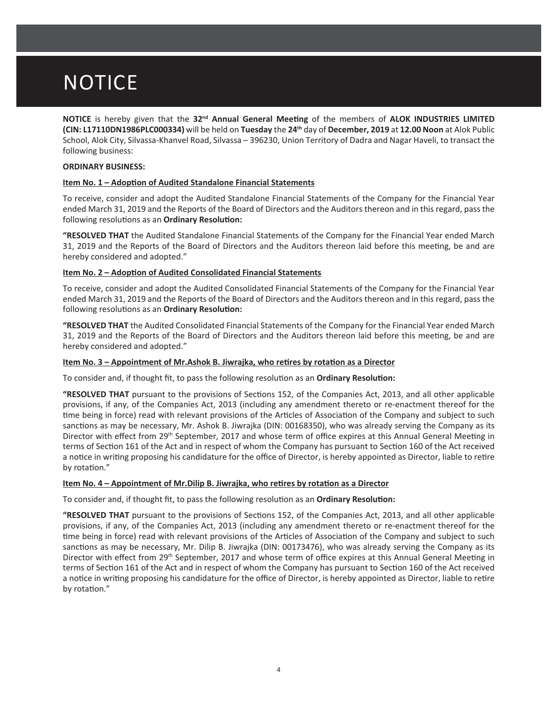## **NOTICE**

**NOTICE** is hereby given that the 32<sup>nd</sup> Annual General Meeting of the members of ALOK INDUSTRIES LIMITED **(CIN: L17110DN1986PLC000334)** will be held on Tuesday the 24<sup>th</sup> day of December, 2019 at 12.00 Noon at Alok Public School, Alok City, Silvassa-Khanvel Road, Silvassa – 396230, Union Territory of Dadra and Nagar Haveli, to transact the following business:

## **ORDINARY BUSINESS:**

## **Item No. 1 – Adoption of Audited Standalone Financial Statements**

To receive, consider and adopt the Audited Standalone Financial Statements of the Company for the Financial Year ended March 31, 2019 and the Reports of the Board of Directors and the Auditors thereon and in this regard, pass the following resolutions as an Ordinary Resolution:

**"RESOLVED THAT** the Audited Standalone Financial Statements of the Company for the Financial Year ended March 31, 2019 and the Reports of the Board of Directors and the Auditors thereon laid before this meeting, be and are hereby considered and adopted."

## **Item No. 2 - Adoption of Audited Consolidated Financial Statements**

To receive, consider and adopt the Audited Consolidated Financial Statements of the Company for the Financial Year ended March 31, 2019 and the Reports of the Board of Directors and the Auditors thereon and in this regard, pass the following resolutions as an Ordinary Resolution:

**"RESOLVED THAT** the Audited Consolidated Financial Statements of the Company for the Financial Year ended March 31, 2019 and the Reports of the Board of Directors and the Auditors thereon laid before this meeting, be and are hereby considered and adopted."

## **/tem No. 3 – Appointment of Mr.Ashok B. Jiwrajka, who retires by rotation as a Director**

To consider and, if thought fit, to pass the following resolution as an Ordinary Resolution:

**WESOLVED THAT** pursuant to the provisions of Sections 152, of the Companies Act, 2013, and all other applicable provisions, if any, of the Companies Act, 2013 (including any amendment thereto or re-enactment thereof for the time being in force) read with relevant provisions of the Articles of Association of the Company and subject to such sanctions as may be necessary, Mr. Ashok B. Jiwrajka (DIN: 00168350), who was already serving the Company as its Director with effect from 29<sup>th</sup> September, 2017 and whose term of office expires at this Annual General Meeting in terms of Section 161 of the Act and in respect of whom the Company has pursuant to Section 160 of the Act received a notice in writing proposing his candidature for the office of Director, is hereby appointed as Director, liable to retire by rotation."

### **/tem No. 4 – Appointment of Mr. Dilip B. Jiwrajka, who retires by rotation as a Director**

To consider and, if thought fit, to pass the following resolution as an Ordinary Resolution:

**WRESOLVED THAT** pursuant to the provisions of Sections 152, of the Companies Act, 2013, and all other applicable provisions, if any, of the Companies Act, 2013 (including any amendment thereto or re-enactment thereof for the time being in force) read with relevant provisions of the Articles of Association of the Company and subject to such sanctions as may be necessary, Mr. Dilip B. Jiwrajka (DIN: 00173476), who was already serving the Company as its Director with effect from 29<sup>th</sup> September, 2017 and whose term of office expires at this Annual General Meeting in terms of Section 161 of the Act and in respect of whom the Company has pursuant to Section 160 of the Act received a notice in writing proposing his candidature for the office of Director, is hereby appointed as Director, liable to retire by rotation."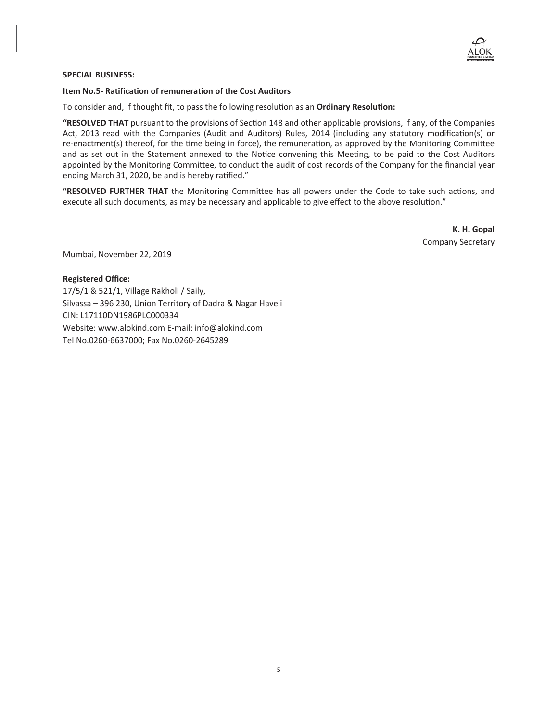

## **SPECIAL BUSINESS:**

#### **Item No.5- Ratification of remuneration of the Cost Auditors**

To consider and, if thought fit, to pass the following resolution as an Ordinary Resolution:

**"RESOLVED THAT** pursuant to the provisions of Section 148 and other applicable provisions, if any, of the Companies Act, 2013 read with the Companies (Audit and Auditors) Rules, 2014 (including any statutory modification(s) or re-enactment(s) thereof, for the time being in force), the remuneration, as approved by the Monitoring Committee and as set out in the Statement annexed to the Notice convening this Meeting, to be paid to the Cost Auditors appointed by the Monitoring Committee, to conduct the audit of cost records of the Company for the financial year ending March 31, 2020, be and is hereby ratified."

"RESOLVED FURTHER THAT the Monitoring Committee has all powers under the Code to take such actions, and execute all such documents, as may be necessary and applicable to give effect to the above resolution."

> **K. H. Gopal** Company Secretary

Mumbai, November 22, 2019

### **Registered Office:**

17/5/1 & 521/1, Village Rakholi / Saily, Silvassa – 396 230, Union Territory of Dadra & Nagar Haveli CIN: L17110DN1986PLC000334 Website: www.alokind.com E-mail: info@alokind.com Tel No.0260-6637000; Fax No.0260-2645289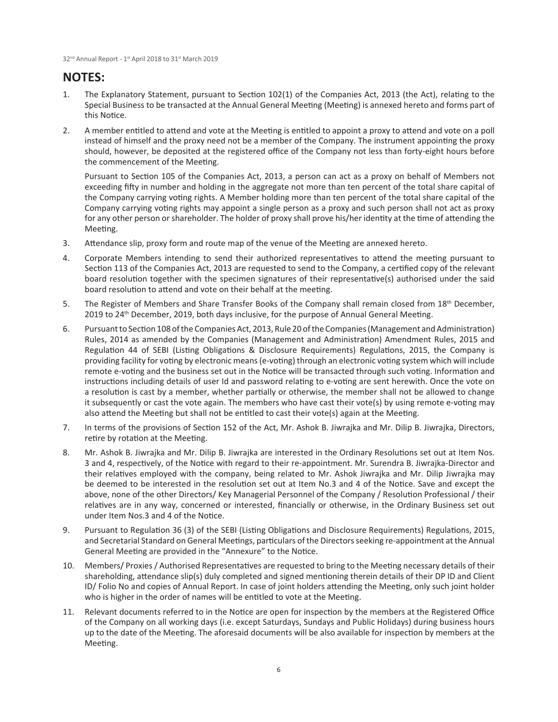## **NOTES:**

- 1. The Explanatory Statement, pursuant to Section 102(1) of the Companies Act, 2013 (the Act), relating to the Special Business to be transacted at the Annual General Meeting (Meeting) is annexed hereto and forms part of this Notice.
- 2. A member entitled to attend and vote at the Meeting is entitled to appoint a proxy to attend and vote on a poll instead of himself and the proxy need not be a member of the Company. The instrument appointing the proxy should, however, be deposited at the registered office of the Company not less than forty-eight hours before the commencement of the Meeting.

Pursuant to Section 105 of the Companies Act, 2013, a person can act as a proxy on behalf of Members not exceeding fifty in number and holding in the aggregate not more than ten percent of the total share capital of the Company carrying voting rights. A Member holding more than ten percent of the total share capital of the Company carrying voting rights may appoint a single person as a proxy and such person shall not act as proxy for any other person or shareholder. The holder of proxy shall prove his/her identity at the time of attending the Meeting.

- 3. Attendance slip, proxy form and route map of the venue of the Meeting are annexed hereto.
- 4. Corporate Members intending to send their authorized representatives to attend the meeting pursuant to Section 113 of the Companies Act, 2013 are requested to send to the Company, a certified copy of the relevant board resolution together with the specimen signatures of their representative(s) authorised under the said board resolution to attend and vote on their behalf at the meeting.
- 5. The Register of Members and Share Transfer Books of the Company shall remain closed from 18<sup>th</sup> December, 2019 to 24<sup>th</sup> December, 2019, both days inclusive, for the purpose of Annual General Meeting.
- 6. Pursuant to Section 108 of the Companies Act, 2013, Rule 20 of the Companies (Management and Administration) Rules, 2014 as amended by the Companies (Management and Administration) Amendment Rules, 2015 and Regulation 44 of SEBI (Listing Obligations & Disclosure Requirements) Regulations, 2015, the Company is providing facility for voting by electronic means (e-voting) through an electronic voting system which will include remote e-voting and the business set out in the Notice will be transacted through such voting. Information and instructions including details of user Id and password relating to e-voting are sent herewith. Once the vote on a resolution is cast by a member, whether partially or otherwise, the member shall not be allowed to change it subsequently or cast the vote again. The members who have cast their vote(s) by using remote e-voting may also attend the Meeting but shall not be entitled to cast their vote(s) again at the Meeting.
- 7. In terms of the provisions of Section 152 of the Act, Mr. Ashok B. Jiwrajka and Mr. Dilip B. Jiwrajka, Directors, retire by rotation at the Meeting.
- 8. Mr. Ashok B. Jiwrajka and Mr. Dilip B. Jiwrajka are interested in the Ordinary Resolutions set out at Item Nos. 3 and 4, respectively, of the Notice with regard to their re-appointment. Mr. Surendra B. Jiwrajka-Director and their relatives employed with the company, being related to Mr. Ashok Jiwrajka and Mr. Dilip Jiwrajka may be deemed to be interested in the resolution set out at Item No.3 and 4 of the Notice. Save and except the above, none of the other Directors/Key Managerial Personnel of the Company / Resolution Professional / their relatives are in any way, concerned or interested, financially or otherwise, in the Ordinary Business set out under Item Nos.3 and 4 of the Notice.
- 9. Pursuant to Regulation 36 (3) of the SEBI (Listing Obligations and Disclosure Requirements) Regulations, 2015, and Secretarial Standard on General Meetings, particulars of the Directors seeking re-appointment at the Annual General Meeting are provided in the "Annexure" to the Notice.
- 10. Members/ Proxies / Authorised Representatives are requested to bring to the Meeting necessary details of their shareholding, attendance slip(s) duly completed and signed mentioning therein details of their DP ID and Client ID/ Folio No and copies of Annual Report. In case of joint holders attending the Meeting, only such joint holder who is higher in the order of names will be entitled to vote at the Meeting.
- 11. Relevant documents referred to in the Notice are open for inspection by the members at the Registered Office of the Company on all working days (i.e. except Saturdays, Sundays and Public Holidays) during business hours up to the date of the Meeting. The aforesaid documents will be also available for inspection by members at the Meeting.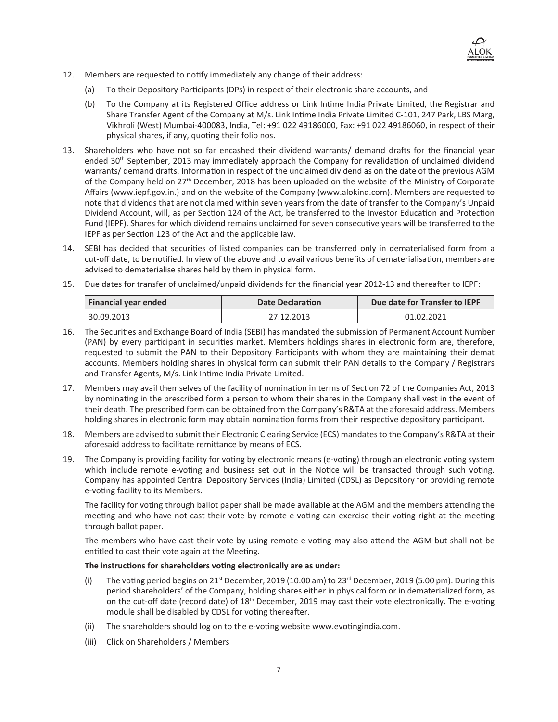

- 12. Members are requested to notify immediately any change of their address:
	- (a) To their Depository Participants (DPs) in respect of their electronic share accounts, and
	- (b) To the Company at its Registered Office address or Link Intime India Private Limited, the Registrar and Share Transfer Agent of the Company at M/s. Link Intime India Private Limited C-101, 247 Park, LBS Marg, Vikhroli (West) Mumbai-400083, India, Tel: +91 022 49186000, Fax: +91 022 49186060, in respect of their physical shares, if any, quoting their folio nos.
- 13. Shareholders who have not so far encashed their dividend warrants/ demand drafts for the financial year ended 30<sup>th</sup> September, 2013 may immediately approach the Company for revalidation of unclaimed dividend warrants/ demand drafts. Information in respect of the unclaimed dividend as on the date of the previous AGM of the Company held on 27<sup>th</sup> December, 2018 has been uploaded on the website of the Ministry of Corporate Affairs (www.iepf.gov.in.) and on the website of the Company (www.alokind.com). Members are requested to note that dividends that are not claimed within seven years from the date of transfer to the Company's Unpaid Dividend Account, will, as per Section 124 of the Act, be transferred to the Investor Education and Protection Fund (IEPF). Shares for which dividend remains unclaimed for seven consecutive years will be transferred to the IEPF as per Section 123 of the Act and the applicable law.
- 14. SEBI has decided that securities of listed companies can be transferred only in dematerialised form from a cut-off date, to be notified. In view of the above and to avail various benefits of dematerialisation, members are advised to dematerialise shares held by them in physical form.
- 15. Due dates for transfer of unclaimed/unpaid dividends for the financial year 2012-13 and thereafter to IEPF:

| Financial year ended | <b>Date Declaration</b> | Due date for Transfer to IEPF |
|----------------------|-------------------------|-------------------------------|
| 30.09.2013 ˈ         | 27.12.2013              | 01.02.2021                    |

- 16. The Securities and Exchange Board of India (SEBI) has mandated the submission of Permanent Account Number (PAN) by every participant in securities market. Members holdings shares in electronic form are, therefore, requested to submit the PAN to their Depository Participants with whom they are maintaining their demat accounts. Members holding shares in physical form can submit their PAN details to the Company / Registrars and Transfer Agents, M/s. Link Intime India Private Limited.
- 17. Members may avail themselves of the facility of nomination in terms of Section 72 of the Companies Act, 2013 by nominating in the prescribed form a person to whom their shares in the Company shall vest in the event of their death. The prescribed form can be obtained from the Company's R&TA at the aforesaid address. Members holding shares in electronic form may obtain nomination forms from their respective depository participant.
- 18. Members are advised to submit their Electronic Clearing Service (ECS) mandates to the Company's R&TA at their aforesaid address to facilitate remittance by means of ECS.
- 19. The Company is providing facility for voting by electronic means (e-voting) through an electronic voting system which include remote e-voting and business set out in the Notice will be transacted through such voting. Company has appointed Central Depository Services (India) Limited (CDSL) as Depository for providing remote e-voting facility to its Members.

The facility for voting through ballot paper shall be made available at the AGM and the members attending the meeting and who have not cast their vote by remote e-voting can exercise their voting right at the meeting through ballot paper.

The members who have cast their vote by using remote e-voting may also attend the AGM but shall not be entitled to cast their vote again at the Meeting.

## The instructions for shareholders voting electronically are as under:

- (i) The voting period begins on  $21<sup>st</sup>$  December, 2019 (10.00 am) to 23<sup>rd</sup> December, 2019 (5.00 pm). During this period shareholders' of the Company, holding shares either in physical form or in dematerialized form, as on the cut-off date (record date) of 18<sup>th</sup> December, 2019 may cast their vote electronically. The e-voting module shall be disabled by CDSL for voting thereafter.
- (ii) The shareholders should log on to the e-voting website www.evotingindia.com.
- (iii) Click on Shareholders / Members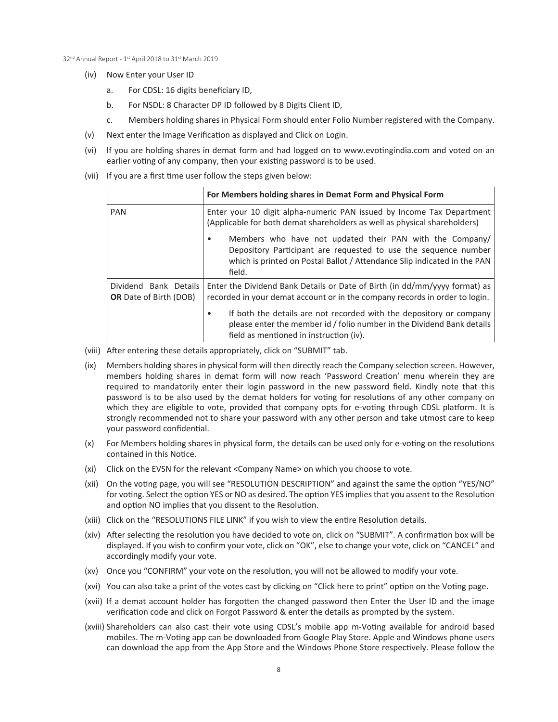- (iv) Now Enter your User ID
	- a. For CDSL: 16 digits beneficiary ID,
	- b. For NSDL: 8 Character DP ID followed by 8 Digits Client ID,
	- c. Members holding shares in Physical Form should enter Folio Number registered with the Company.
- (v) Next enter the Image Verification as displayed and Click on Login.
- (vi) If you are holding shares in demat form and had logged on to www.evotingindia.com and voted on an earlier voting of any company, then your existing password is to be used.
- (vii) If you are a first time user follow the steps given below:

|                                                        | For Members holding shares in Demat Form and Physical Form                                                                                                                                                                       |
|--------------------------------------------------------|----------------------------------------------------------------------------------------------------------------------------------------------------------------------------------------------------------------------------------|
| <b>PAN</b>                                             | Enter your 10 digit alpha-numeric PAN issued by Income Tax Department<br>(Applicable for both demat shareholders as well as physical shareholders)                                                                               |
|                                                        | Members who have not updated their PAN with the Company<br>Depository Participant are requested to use the sequence number<br>which is printed on Postal Ballot / Attendance Slip indicated in the PAN<br>field.                 |
| Dividend Bank Details<br><b>OR</b> Date of Birth (DOB) | Enter the Dividend Bank Details or Date of Birth (in dd/mm/yyyy format) as<br>recorded in your demat account or in the company records in order to login.<br>If both the details are not recorded with the depository or company |
|                                                        | please enter the member id / folio number in the Dividend Bank details<br>field as mentioned in instruction (iv).                                                                                                                |

- (viii) After entering these details appropriately, click on "SUBMIT" tab.
- (ix) Members holding shares in physical form will then directly reach the Company selection screen. However, members holding shares in demat form will now reach 'Password Creation' menu wherein they are required to mandatorily enter their login password in the new password field. Kindly note that this password is to be also used by the demat holders for voting for resolutions of any other company on which they are eligible to vote, provided that company opts for e-voting through CDSL platform. It is strongly recommended not to share your password with any other person and take utmost care to keep your password confidential.
- (x) For Members holding shares in physical form, the details can be used only for e-voting on the resolutions contained in this Notice.
- (xi) Click on the EVSN for the relevant <Company Name> on which you choose to vote.
- (xii) On the voting page, you will see "RESOLUTION DESCRIPTION" and against the same the option "YES/NO" for voting. Select the option YES or NO as desired. The option YES implies that you assent to the Resolution and option NO implies that you dissent to the Resolution.
- (xiii) Click on the "RESOLUTIONS FILE LINK" if you wish to view the entire Resolution details.
- (xiv) After selecting the resolution you have decided to vote on, click on "SUBMIT". A confirmation box will be displayed. If you wish to confirm your vote, click on "OK", else to change your vote, click on "CANCEL" and accordingly modify your vote.
- (xv) Once you "CONFIRM" your vote on the resolution, you will not be allowed to modify your vote.
- (xvi) You can also take a print of the votes cast by clicking on "Click here to print" option on the Voting page.
- (xvii) If a demat account holder has forgotten the changed password then Enter the User ID and the image verification code and click on Forgot Password & enter the details as prompted by the system.
- (xviii) Shareholders can also cast their vote using CDSL's mobile app m-Voting available for android based mobiles. The m-Voting app can be downloaded from Google Play Store. Apple and Windows phone users can download the app from the App Store and the Windows Phone Store respectively. Please follow the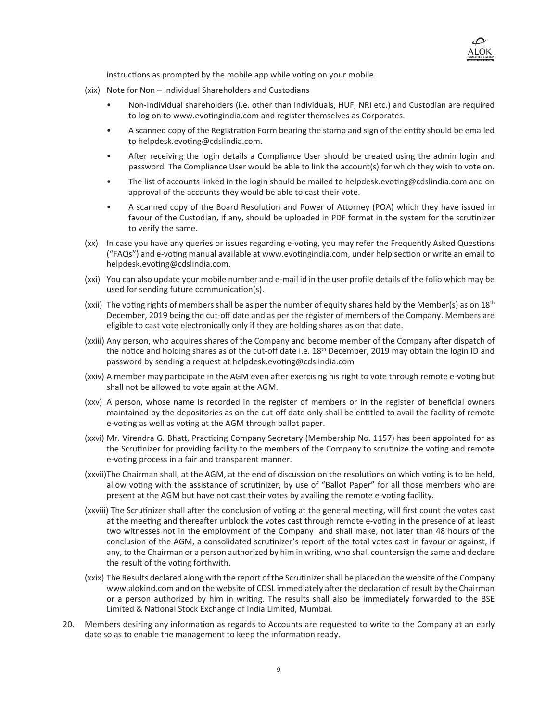

instructions as prompted by the mobile app while voting on your mobile.

- (xix) Note for Non Individual Shareholders and Custodians
	- Non-Individual shareholders (i.e. other than Individuals, HUF, NRI etc.) and Custodian are required to log on to www.evotingindia.com and register themselves as Corporates.
	- A scanned copy of the Registration Form bearing the stamp and sign of the entity should be emailed to helpdesk.evoting@cdslindia.com.
	- After receiving the login details a Compliance User should be created using the admin login and password. The Compliance User would be able to link the account(s) for which they wish to vote on.
	- The list of accounts linked in the login should be mailed to helpdesk.evoting@cdslindia.com and on approval of the accounts they would be able to cast their vote.
	- A scanned copy of the Board Resolution and Power of Attorney (POA) which they have issued in favour of the Custodian, if any, should be uploaded in PDF format in the system for the scrutinizer to verify the same.
- (xx) In case you have any queries or issues regarding e-voting, you may refer the Frequently Asked Questions ("FAQs") and e-voting manual available at www.evotingindia.com, under help section or write an email to helpdesk.evoting@cdslindia.com.
- (xxi) You can also update your mobile number and e-mail id in the user profile details of the folio which may be used for sending future communication(s).
- (xxii) The voting rights of members shall be as per the number of equity shares held by the Member(s) as on 18<sup>th</sup> December, 2019 being the cut-off date and as per the register of members of the Company. Members are eligible to cast vote electronically only if they are holding shares as on that date.
- (xxiii) Any person, who acquires shares of the Company and become member of the Company after dispatch of the notice and holding shares as of the cut-off date i.e.  $18<sup>th</sup>$  December, 2019 may obtain the login ID and password by sending a request at helpdesk.evoting@cdslindia.com
- (xxiv) A member may participate in the AGM even after exercising his right to vote through remote e-voting but shall not be allowed to vote again at the AGM.
- (xxv) A person, whose name is recorded in the register of members or in the register of beneficial owners maintained by the depositories as on the cut-off date only shall be entitled to avail the facility of remote e-voting as well as voting at the AGM through ballot paper.
- (xxvi) Mr. Virendra G. Bhatt, Practicing Company Secretary (Membership No. 1157) has been appointed for as the Scrutinizer for providing facility to the members of the Company to scrutinize the voting and remote e-voting process in a fair and transparent manner.
- (xxvii)The Chairman shall, at the AGM, at the end of discussion on the resolutions on which voting is to be held, allow voting with the assistance of scrutinizer, by use of "Ballot Paper" for all those members who are present at the AGM but have not cast their votes by availing the remote e-voting facility.
- (xxviii) The Scrutinizer shall after the conclusion of voting at the general meeting, will first count the votes cast at the meeting and thereafter unblock the votes cast through remote e-voting in the presence of at least two witnesses not in the employment of the Company and shall make, not later than 48 hours of the conclusion of the AGM, a consolidated scrutinizer's report of the total votes cast in favour or against, if any, to the Chairman or a person authorized by him in writing, who shall countersign the same and declare the result of the voting forthwith.
- (xxix) The Results declared along with the report of the Scrutinizer shall be placed on the website of the Company www.alokind.com and on the website of CDSL immediately after the declaration of result by the Chairman or a person authorized by him in writing. The results shall also be immediately forwarded to the BSE Limited & National Stock Exchange of India Limited, Mumbai.
- 20. Members desiring any information as regards to Accounts are requested to write to the Company at an early date so as to enable the management to keep the information ready.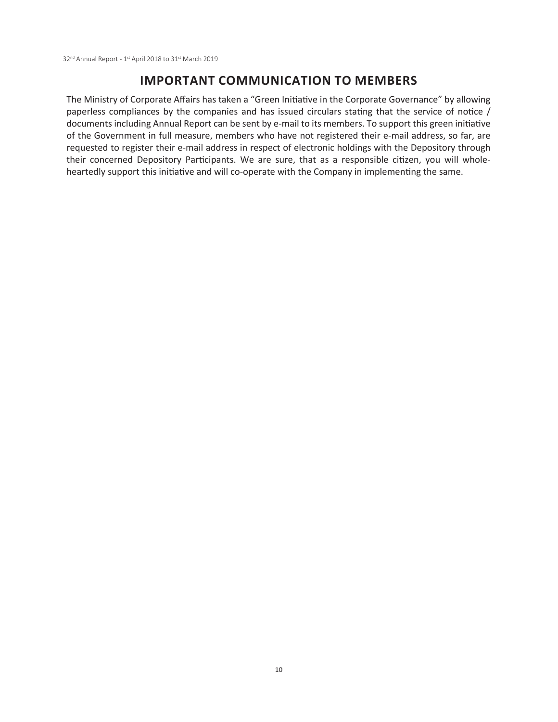## **IMPORTANT COMMUNICATION TO MEMBERS**

The Ministry of Corporate Affairs has taken a "Green Initiative in the Corporate Governance" by allowing paperless compliances by the companies and has issued circulars stating that the service of notice / documents including Annual Report can be sent by e-mail to its members. To support this green initiative of the Government in full measure, members who have not registered their e-mail address, so far, are requested to register their e-mail address in respect of electronic holdings with the Depository through their concerned Depository Participants. We are sure, that as a responsible citizen, you will wholeheartedly support this initiative and will co-operate with the Company in implementing the same.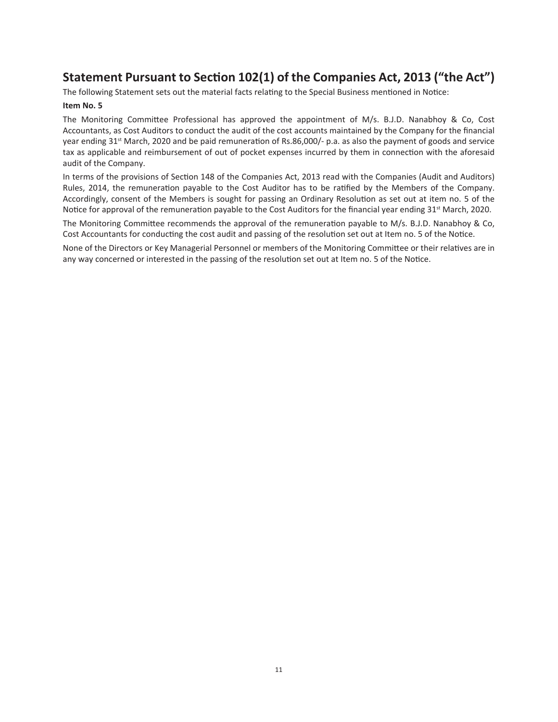## Statement Pursuant to Section 102(1) of the Companies Act, 2013 ("the Act")

The following Statement sets out the material facts relating to the Special Business mentioned in Notice:

## Item No. 5

The Monitoring Committee Professional has approved the appointment of M/s. B.J.D. Nanabhoy & Co, Cost Accountants, as Cost Auditors to conduct the audit of the cost accounts maintained by the Company for the financial year ending 31<sup>st</sup> March, 2020 and be paid remuneration of Rs.86,000/- p.a. as also the payment of goods and service tax as applicable and reimbursement of out of pocket expenses incurred by them in connection with the aforesaid audit of the Company.

In terms of the provisions of Section 148 of the Companies Act, 2013 read with the Companies (Audit and Auditors) Rules, 2014, the remuneration payable to the Cost Auditor has to be ratified by the Members of the Company. Accordingly, consent of the Members is sought for passing an Ordinary Resolution as set out at item no. 5 of the Notice for approval of the remuneration payable to the Cost Auditors for the financial year ending 31<sup>st</sup> March, 2020.

The Monitoring Committee recommends the approval of the remuneration payable to M/s. B.J.D. Nanabhoy & Co, Cost Accountants for conducting the cost audit and passing of the resolution set out at Item no. 5 of the Notice.

None of the Directors or Key Managerial Personnel or members of the Monitoring Committee or their relatives are in any way concerned or interested in the passing of the resolution set out at Item no. 5 of the Notice.